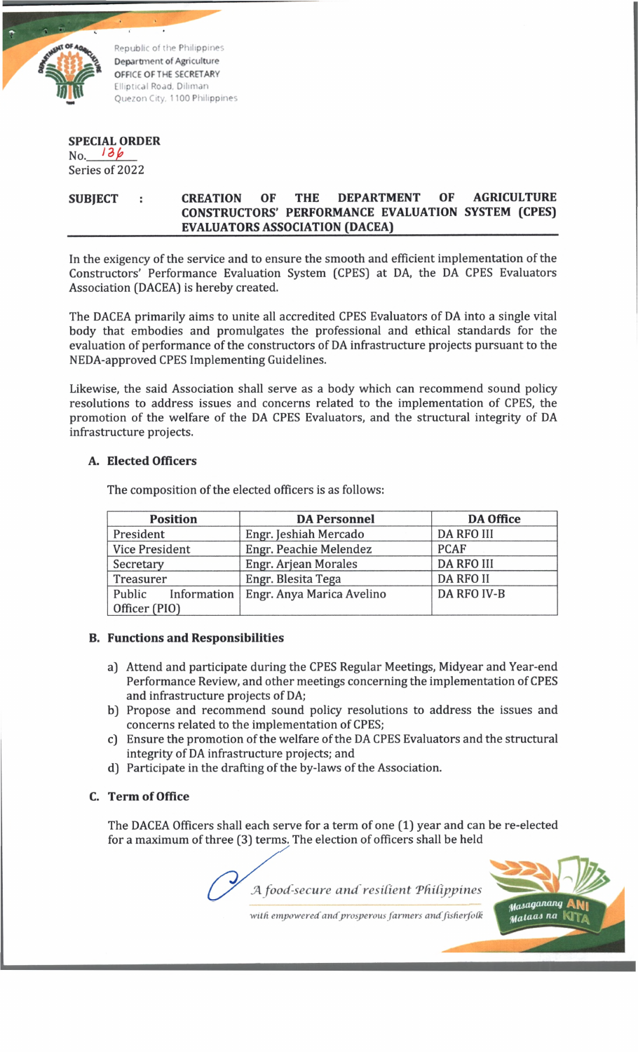

**Republic of the Philippines Department of Agriculture OFFICE OF THE SECRETARY Elliptical Road. Diliman Quezon City, 1100 Philippines**

# **SPECIAL ORDER**

No. 136 Series of 2022

## SUBJECT : CREATION OF THE DEPARTMENT OF AGRICULTURE **CONSTRUCTORS' PERFORMANCE EVALUATION SYSTEM (CPES) EVALUATORS ASSOCIATION (DACEA)\_\_\_\_\_\_\_\_\_\_\_\_\_\_\_\_\_\_\_\_\_\_\_\_\_\_\_\_\_\_\_\_\_\_\_**

In the exigency of the service and to ensure the smooth and efficient implementation of the Constructors' Performance Evaluation System [CPES) at DA, the DA CPES Evaluators Association [DACEA) is hereby created.

The DACEA primarily aims to unite all accredited CPES Evaluators of DA into a single vital body that embodies and promulgates the professional and ethical standards for the evaluation of performance of the constructors of DA infrastructure projects pursuant to the NEDA-approved CPES Implementing Guidelines.

Likewise, the said Association shall serve as a body which can recommend sound policy resolutions to address issues and concerns related to the implementation of CPES, the promotion of the welfare of the DA CPES Evaluators, and the structural integrity of DA infrastructure projects.

### **A. Elected Officers**

**Position DA Personnel DA Office** President Engr. Jeshiah Mercado DA RFO III Vice President | Engr. Peachie Melendez | PCAF Secretary Engr. Arjean Morales DA RFO III Treasurer | Engr. Blesita Tega | DA RFO II Public Information Officer [PIO) Engr. Anya Marica Avelino DA RFO IV-B

The composition of the elected officers is as follows:

### **B. Functions and Responsibilities**

- a) Attend and participate during the CPES Regular Meetings, Midyear and Year-end Performance Review, and other meetings concerning the implementation of CPES and infrastructure projects of DA;
- b) Propose and recommend sound policy resolutions to address the issues and concerns related to the implementation of CPES;
- c) Ensure the promotion of the welfare of the DA CPES Evaluators and the structural integrity of DA infrastructure projects; and
- d) Participate in the drafting of the by-laws of the Association.

### **C. Term of Office**

The DACEA Officers shall each serve for a term of one (1) year and can be re-elected for a maximum of three [3) terms. The election of officers shall be held

*JA food-secure and resident 'Philippines*



*with empoweredandprosperous farmers andfisherfotk*